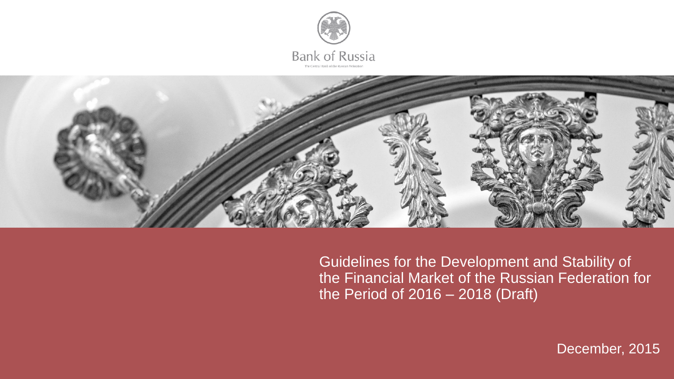



Guidelines for the Development and Stability of the Financial Market of the Russian Federation for the Period of 2016 – 2018 (Draft)

December, 2015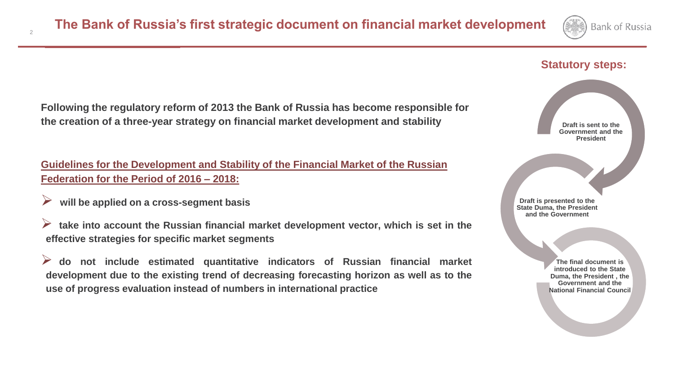

#### **Statutory steps:**

**Following the regulatory reform of 2013 the Bank of Russia has become responsible for the creation of a three-year strategy on financial market development and stability**

**Guidelines for the Development and Stability of the Financial Market of the Russian Federation for the Period of 2016 – 2018:**

 **will be applied on <sup>a</sup> cross-segment basis**

2

 **take into account the Russian financial market development vector, which is set in the effective strategies for specific market segments**

 **do not include estimated quantitative indicators of Russian financial market development due to the existing trend of decreasing forecasting horizon as well as to the use of progress evaluation instead of numbers in international practice**

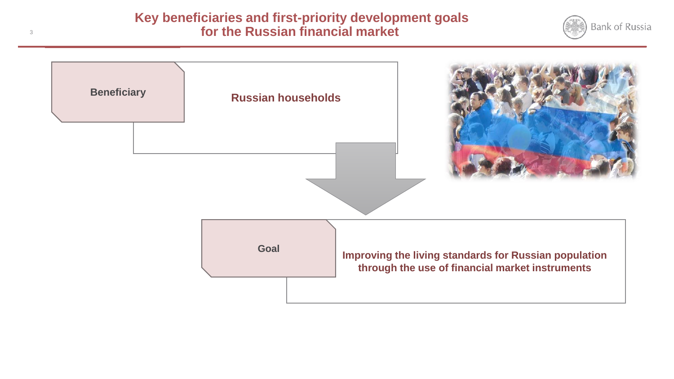#### APPROACH TO REGULATION OF CREDIT **Key beneficiaries and first-priority development goals for the Russian financial market**



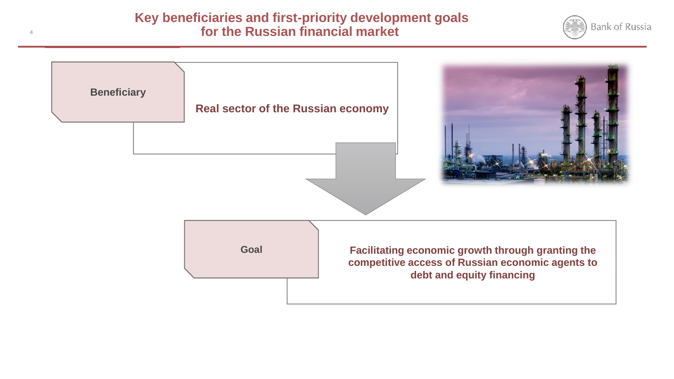#### APPROACH TO REGULATION OF CREDIT **Key beneficiaries and first-priority development goals for the Russian financial market**



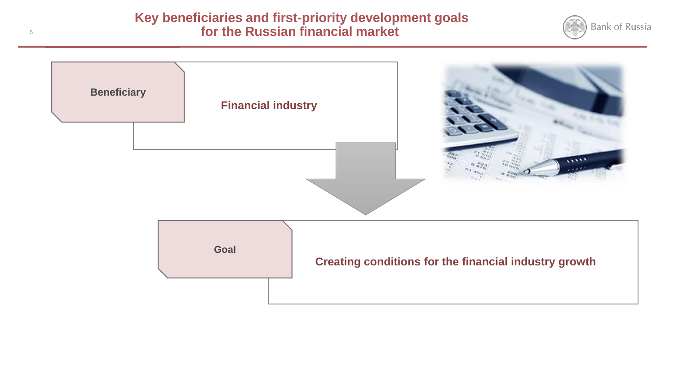#### APPROACH TO REGULATION OF CREDIT **Key beneficiaries and first-priority development goals for the Russian financial market**



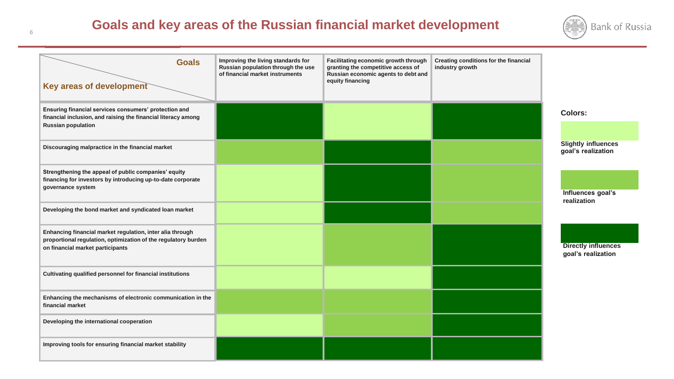# **Goals and key areas of the Russian financial market development**



| <b>Goals</b><br>Key areas of development                                                                                                                        | Improving the living standards for<br>Russian population through the use<br>of financial market instruments | Facilitating economic growth through<br>granting the competitive access of<br>Russian economic agents to debt and<br>equity financing | Creating conditions for the financial<br>industry growth |                                                  |
|-----------------------------------------------------------------------------------------------------------------------------------------------------------------|-------------------------------------------------------------------------------------------------------------|---------------------------------------------------------------------------------------------------------------------------------------|----------------------------------------------------------|--------------------------------------------------|
| Ensuring financial services consumers' protection and<br>financial inclusion, and raising the financial literacy among<br><b>Russian population</b>             |                                                                                                             |                                                                                                                                       |                                                          | Colors:                                          |
| Discouraging malpractice in the financial market                                                                                                                |                                                                                                             |                                                                                                                                       |                                                          | <b>Slightly influences</b><br>goal's realization |
| Strengthening the appeal of public companies' equity<br>financing for investors by introducing up-to-date corporate<br>governance system                        |                                                                                                             |                                                                                                                                       |                                                          | Influences goal's                                |
| Developing the bond market and syndicated loan market                                                                                                           |                                                                                                             |                                                                                                                                       |                                                          | realization                                      |
| Enhancing financial market regulation, inter alia through<br>proportional regulation, optimization of the regulatory burden<br>on financial market participants |                                                                                                             |                                                                                                                                       |                                                          | <b>Directly influences</b><br>goal's realization |
| Cultivating qualified personnel for financial institutions                                                                                                      |                                                                                                             |                                                                                                                                       |                                                          |                                                  |
| Enhancing the mechanisms of electronic communication in the<br>financial market                                                                                 |                                                                                                             |                                                                                                                                       |                                                          |                                                  |
| Developing the international cooperation                                                                                                                        |                                                                                                             |                                                                                                                                       |                                                          |                                                  |
| Improving tools for ensuring financial market stability                                                                                                         |                                                                                                             |                                                                                                                                       |                                                          |                                                  |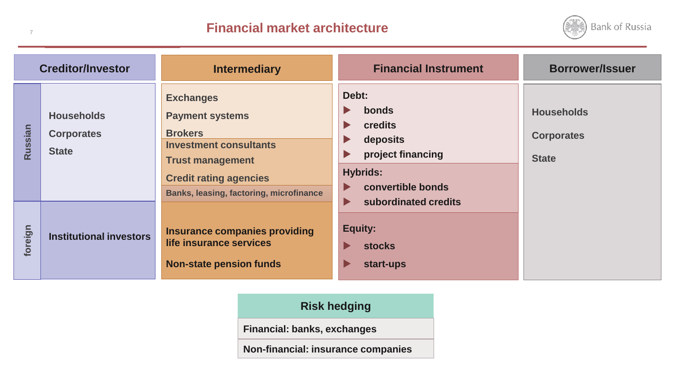## **Financial market architecture**

7



| <b>Creditor/Investor</b><br><b>Intermediary</b> |                                                        | <b>Financial Instrument</b>                                                                                                                                                                          | <b>Borrower/Issuer</b>                                                                                                                                                                                 |                                                        |
|-------------------------------------------------|--------------------------------------------------------|------------------------------------------------------------------------------------------------------------------------------------------------------------------------------------------------------|--------------------------------------------------------------------------------------------------------------------------------------------------------------------------------------------------------|--------------------------------------------------------|
| Russian                                         | <b>Households</b><br><b>Corporates</b><br><b>State</b> | <b>Exchanges</b><br><b>Payment systems</b><br><b>Brokers</b><br><b>Investment consultants</b><br><b>Trust management</b><br><b>Credit rating agencies</b><br>Banks, leasing, factoring, microfinance | Debt:<br>bonds<br>$\blacktriangleright$<br>credits<br>$\blacktriangleright$<br>deposits<br>$\blacktriangleright$<br>project financing<br>$\blacktriangleright$<br><b>Hybrids:</b><br>convertible bonds | <b>Households</b><br><b>Corporates</b><br><b>State</b> |
| foreign                                         | <b>Institutional investors</b>                         | Insurance companies providing<br>life insurance services<br><b>Non-state pension funds</b>                                                                                                           | subordinated credits<br>▶<br><b>Equity:</b><br><b>stocks</b><br>start-ups<br>Þ                                                                                                                         |                                                        |

### **Risk hedging**

**Financial: banks, exchanges**

**Non-financial: insurance companies**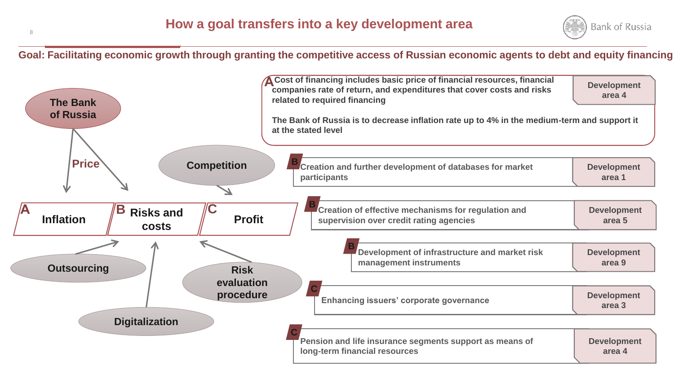

**Goal: Facilitating economic growth through granting the competitive access of Russian economic agents to debt and equity financing**

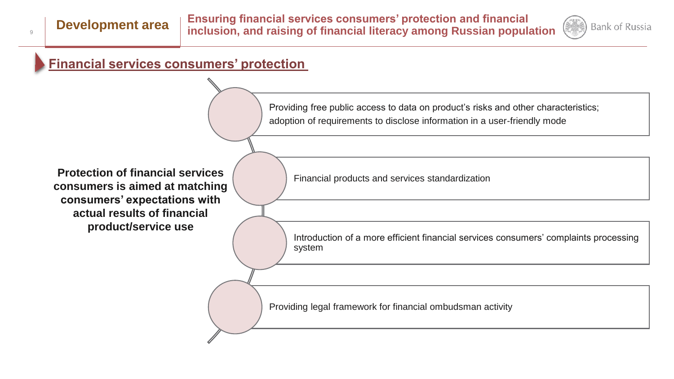

## **Financial services consumers' protection**

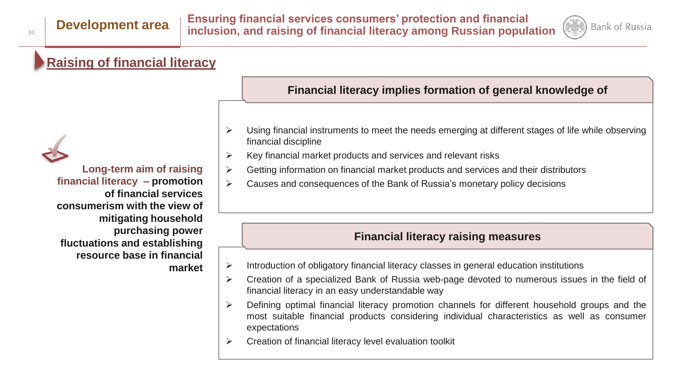

## **Raising of financial literacy**

### **Financial literacy implies formation of general knowledge of**

- $\triangleright$  Using financial instruments to meet the needs emerging at different stages of life while observing financial discipline
- $\triangleright$  Key financial market products and services and relevant risks
- $\triangleright$  Getting information on financial market products and services and their distributors
- $\triangleright$  Causes and consequences of the Bank of Russia's monetary policy decisions

#### **Financial literacy raising measures**

- $\triangleright$  Introduction of obligatory financial literacy classes in general education institutions
- $\triangleright$  Creation of a specialized Bank of Russia web-page devoted to numerous issues in the field of financial literacy in an easy understandable way
- $\triangleright$  Defining optimal financial literacy promotion channels for different household groups and the most suitable financial products considering individual characteristics as well as consumer expectations
- $\triangleright$  Creation of financial literacy level evaluation toolkit

**Long-term aim of raising financial literacy – promotion of financial services consumerism with the view of mitigating household purchasing power fluctuations and establishing resource base in financial market**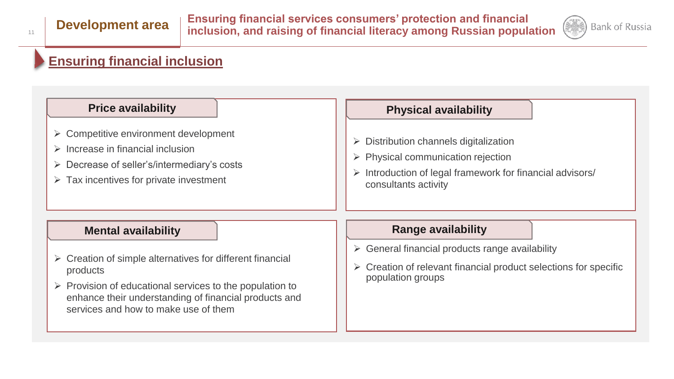

# **Ensuring financial inclusion**

| <b>Price availability</b>                                                                                                                                                                                                        | <b>Physical availability</b>                                                                                                                                                                       |  |  |
|----------------------------------------------------------------------------------------------------------------------------------------------------------------------------------------------------------------------------------|----------------------------------------------------------------------------------------------------------------------------------------------------------------------------------------------------|--|--|
| $\triangleright$ Competitive environment development<br>$\triangleright$ Increase in financial inclusion<br>$\triangleright$ Decrease of seller's/intermediary's costs<br>$\triangleright$ Tax incentives for private investment | $\triangleright$ Distribution channels digitalization<br>$\triangleright$ Physical communication rejection<br>Introduction of legal framework for financial advisors/<br>➤<br>consultants activity |  |  |
| <b>Mental availability</b>                                                                                                                                                                                                       | <b>Range availability</b>                                                                                                                                                                          |  |  |
|                                                                                                                                                                                                                                  | $\triangleright$ General financial products range availability<br>$\triangleright$ Creation of relevant financial product selections for specific<br>population groups                             |  |  |
| $\triangleright$ Creation of simple alternatives for different financial<br>products                                                                                                                                             |                                                                                                                                                                                                    |  |  |
| $\triangleright$ Provision of educational services to the population to<br>enhance their understanding of financial products and<br>services and how to make use of them                                                         |                                                                                                                                                                                                    |  |  |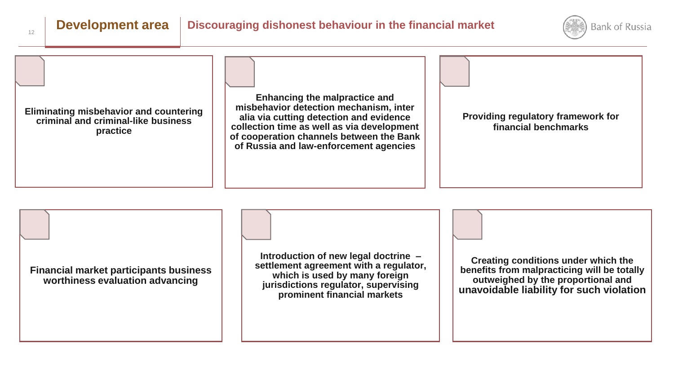

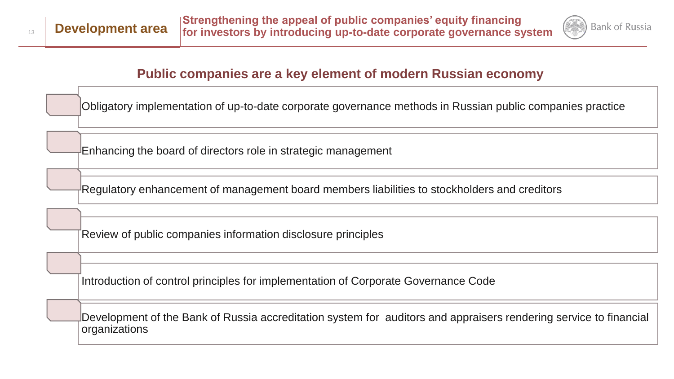

## **Public companies are a key element of modern Russian economy**

Obligatory implementation of up-to-date corporate governance methods in Russian public companies practice

Enhancing the board of directors role in strategic management

Regulatory enhancement of management board members liabilities to stockholders and creditors

Review of public companies information disclosure principles

Introduction of control principles for implementation of Corporate Governance Code

Development of the Bank of Russia accreditation system for auditors and appraisers rendering service to financial organizations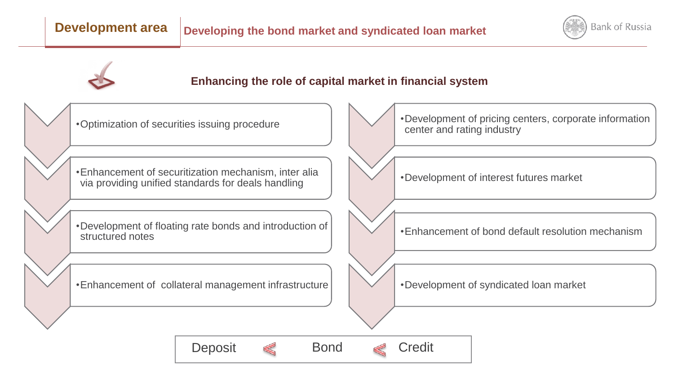

### **Enhancing the role of capital market in financial system**

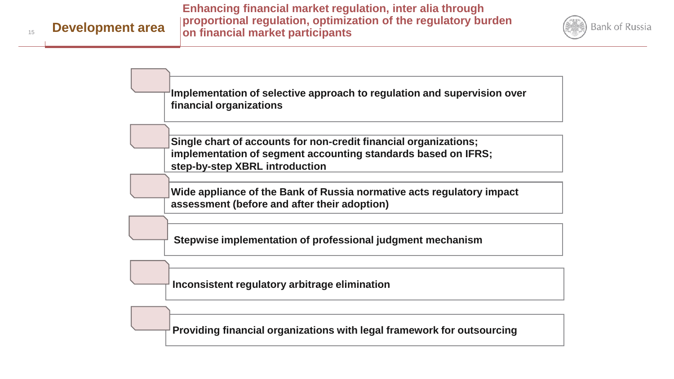**Development area** 

15



**Implementation of selective approach to regulation and supervision over financial organizations**

**Single chart of accounts for non-credit financial organizations; implementation of segment accounting standards based on IFRS; step-by-step XBRL introduction**

**Wide appliance of the Bank of Russia normative acts regulatory impact assessment (before and after their adoption)**

**Stepwise implementation of professional judgment mechanism**

**Inconsistent regulatory arbitrage elimination**

**Providing financial organizations with legal framework for outsourcing**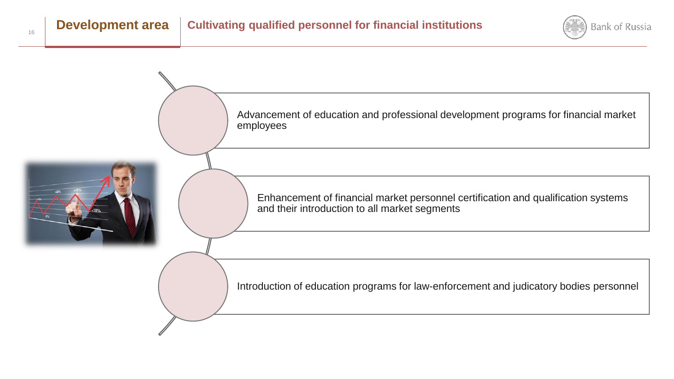

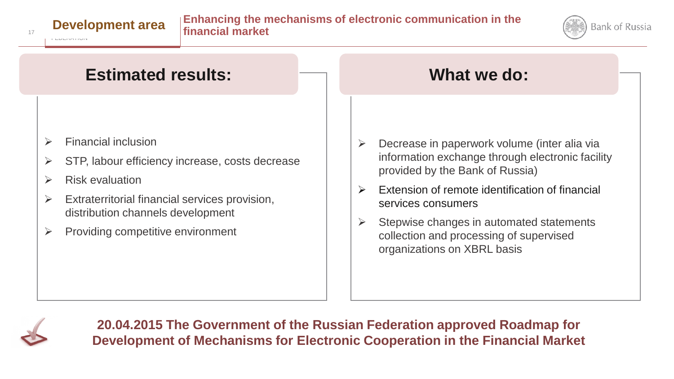





- $\triangleright$  Financial inclusion
- $\triangleright$  STP, labour efficiency increase, costs decrease
- $\triangleright$  Risk evaluation
- $\triangleright$  Extraterritorial financial services provision, distribution channels development
- $\triangleright$  Providing competitive environment
- $\triangleright$  Decrease in paperwork volume (inter alia via information exchange through electronic facility provided by the Bank of Russia)
- $\triangleright$  Extension of remote identification of financial services consumers
- $\triangleright$  Stepwise changes in automated statements collection and processing of supervised organizations on XBRL basis



**20.04.2015 The Government of the Russian Federation approved Roadmap for Development of Mechanisms for Electronic Cooperation in the Financial Market**

FEDERATION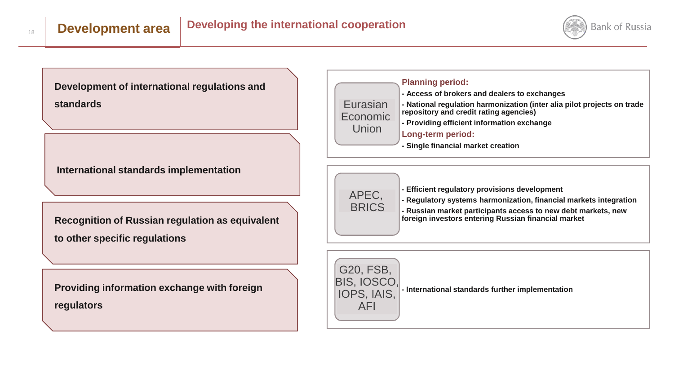

**Development of international regulations and standards**

**International standards implementation**

**Recognition of Russian regulation as equivalent to other specific regulations**

**Providing information exchange with foreign regulators**

| <b>Planning period:</b><br>- Access of brokers and dealers to exchanges<br>Eurasian<br>- National regulation harmonization (inter alia pilot projects on trade<br>repository and credit rating agencies)<br>Economic<br>- Providing efficient information exchange<br>Union<br>Long-term period:<br>- Single financial market creation |  |
|----------------------------------------------------------------------------------------------------------------------------------------------------------------------------------------------------------------------------------------------------------------------------------------------------------------------------------------|--|
|----------------------------------------------------------------------------------------------------------------------------------------------------------------------------------------------------------------------------------------------------------------------------------------------------------------------------------------|--|



- **- Efficient regulatory provisions development**
- **- Regulatory systems harmonization, financial markets integration**
- **- Russian market participants access to new debt markets, new foreign investors entering Russian financial market**



**- International standards further implementation**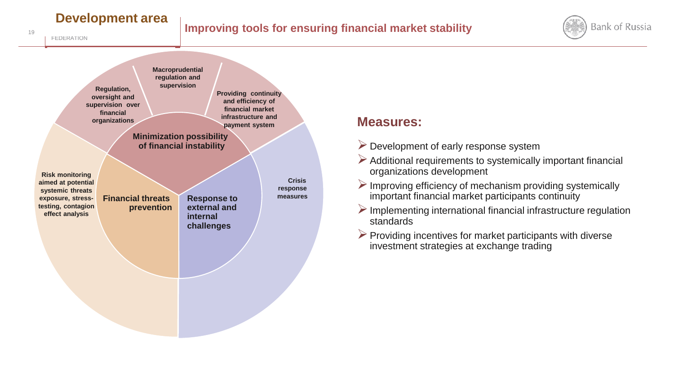# **Development area**

FEDERATION

19





## **Measures:**

- $\triangleright$  Development of early response system
- $\triangleright$  Additional requirements to systemically important financial organizations development
- $\triangleright$  Improving efficiency of mechanism providing systemically important financial market participants continuity
- $\triangleright$  Implementing international financial infrastructure regulation standards
- $\triangleright$  Providing incentives for market participants with diverse investment strategies at exchange trading